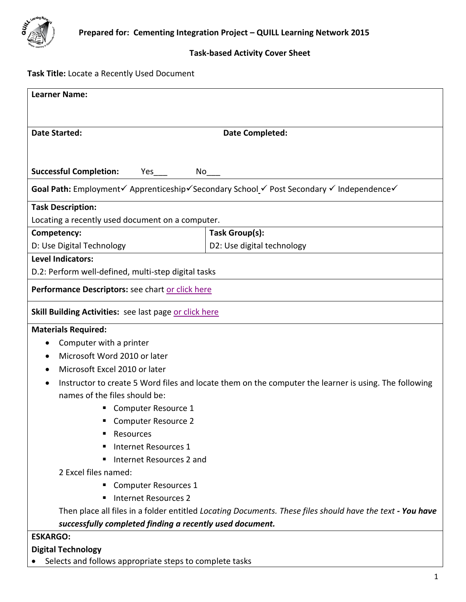

### **Task-based Activity Cover Sheet**

# **Task Title:** Locate a Recently Used Document

| <b>Learner Name:</b>                                                                                      |                                                                                                       |  |  |  |  |  |
|-----------------------------------------------------------------------------------------------------------|-------------------------------------------------------------------------------------------------------|--|--|--|--|--|
|                                                                                                           |                                                                                                       |  |  |  |  |  |
| <b>Date Started:</b>                                                                                      |                                                                                                       |  |  |  |  |  |
|                                                                                                           | <b>Date Completed:</b>                                                                                |  |  |  |  |  |
|                                                                                                           |                                                                                                       |  |  |  |  |  |
| <b>Successful Completion:</b><br>Yes<br>No                                                                |                                                                                                       |  |  |  |  |  |
| Goal Path: Employment√ Apprenticeship√Secondary School √ Post Secondary √ Independence√                   |                                                                                                       |  |  |  |  |  |
| <b>Task Description:</b>                                                                                  |                                                                                                       |  |  |  |  |  |
| Locating a recently used document on a computer.                                                          |                                                                                                       |  |  |  |  |  |
| Competency:                                                                                               | Task Group(s):                                                                                        |  |  |  |  |  |
| D: Use Digital Technology                                                                                 | D2: Use digital technology                                                                            |  |  |  |  |  |
| <b>Level Indicators:</b>                                                                                  |                                                                                                       |  |  |  |  |  |
| D.2: Perform well-defined, multi-step digital tasks                                                       |                                                                                                       |  |  |  |  |  |
| Performance Descriptors: see chart or click here                                                          |                                                                                                       |  |  |  |  |  |
|                                                                                                           |                                                                                                       |  |  |  |  |  |
| <b>Skill Building Activities: see last page or click here</b>                                             |                                                                                                       |  |  |  |  |  |
| <b>Materials Required:</b>                                                                                |                                                                                                       |  |  |  |  |  |
| Computer with a printer                                                                                   |                                                                                                       |  |  |  |  |  |
| Microsoft Word 2010 or later                                                                              |                                                                                                       |  |  |  |  |  |
| Microsoft Excel 2010 or later                                                                             |                                                                                                       |  |  |  |  |  |
|                                                                                                           | Instructor to create 5 Word files and locate them on the computer the learner is using. The following |  |  |  |  |  |
| names of the files should be:                                                                             |                                                                                                       |  |  |  |  |  |
| Computer Resource 1                                                                                       |                                                                                                       |  |  |  |  |  |
| <b>Computer Resource 2</b>                                                                                |                                                                                                       |  |  |  |  |  |
| Resources                                                                                                 |                                                                                                       |  |  |  |  |  |
| Internet Resources 1                                                                                      |                                                                                                       |  |  |  |  |  |
| Internet Resources 2 and                                                                                  |                                                                                                       |  |  |  |  |  |
| 2 Excel files named:                                                                                      |                                                                                                       |  |  |  |  |  |
| <b>Computer Resources 1</b>                                                                               |                                                                                                       |  |  |  |  |  |
| <b>Internet Resources 2</b>                                                                               |                                                                                                       |  |  |  |  |  |
| Then place all files in a folder entitled Locating Documents. These files should have the text - You have |                                                                                                       |  |  |  |  |  |
| successfully completed finding a recently used document.                                                  |                                                                                                       |  |  |  |  |  |
| <b>ESKARGO:</b>                                                                                           |                                                                                                       |  |  |  |  |  |
| <b>Digital Technology</b>                                                                                 |                                                                                                       |  |  |  |  |  |
| Selects and follows appropriate steps to complete tasks                                                   |                                                                                                       |  |  |  |  |  |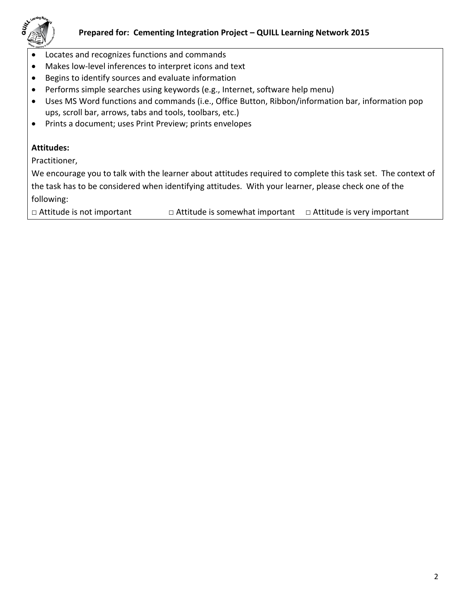

- Locates and recognizes functions and commands
- Makes low-level inferences to interpret icons and text
- Begins to identify sources and evaluate information
- Performs simple searches using keywords (e.g., Internet, software help menu)
- Uses MS Word functions and commands (i.e., Office Button, Ribbon/information bar, information pop ups, scroll bar, arrows, tabs and tools, toolbars, etc.)
- Prints a document; uses Print Preview; prints envelopes

# **Attitudes:**

Practitioner,

We encourage you to talk with the learner about attitudes required to complete this task set. The context of the task has to be considered when identifying attitudes. With your learner, please check one of the following:

□ Attitude is not important □ △ Attitude is somewhat important □ Attitude is very important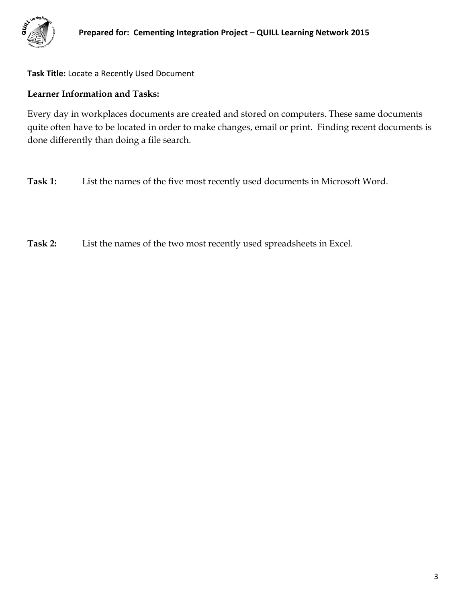

**Task Title:** Locate a Recently Used Document

### **Learner Information and Tasks:**

Every day in workplaces documents are created and stored on computers. These same documents quite often have to be located in order to make changes, email or print. Finding recent documents is done differently than doing a file search.

**Task 1:** List the names of the five most recently used documents in Microsoft Word.

**Task 2:** List the names of the two most recently used spreadsheets in Excel.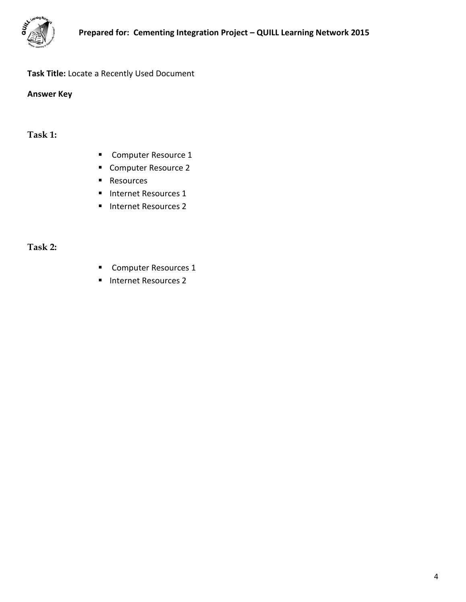

# **Task Title:** Locate a Recently Used Document

**Answer Key**

**Task 1:**

- **Computer Resource 1**
- Computer Resource 2
- Resources
- **Internet Resources 1**
- **Internet Resources 2**

**Task 2:**

- **Computer Resources 1**
- **Internet Resources 2**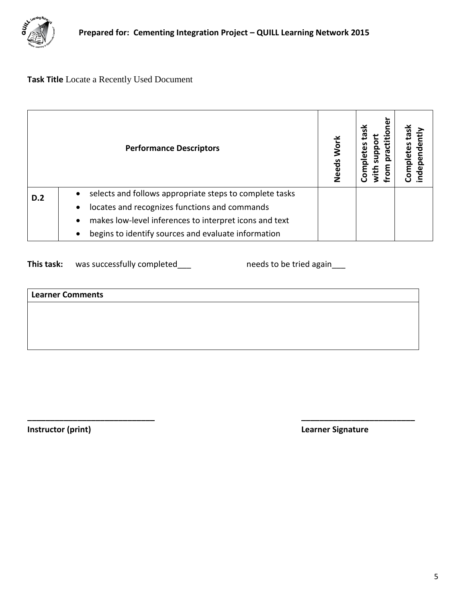

# **Task Title** Locate a Recently Used Document

<span id="page-4-0"></span>

|            | <b>Performance Descriptors</b>                                                                                                  | Work<br>Needs | ৼ<br>with<br>m<br>S | lasl<br>etes<br><b>E</b><br>Com<br>nder |
|------------|---------------------------------------------------------------------------------------------------------------------------------|---------------|---------------------|-----------------------------------------|
| <b>D.2</b> | selects and follows appropriate steps to complete tasks<br>locates and recognizes functions and commands<br>$\bullet$           |               |                     |                                         |
|            | makes low-level inferences to interpret icons and text<br>٠<br>begins to identify sources and evaluate information<br>$\bullet$ |               |                     |                                         |

This task: was successfully completed\_\_\_ needs to be tried again\_\_\_

| Learner Comments |  |  |
|------------------|--|--|
|                  |  |  |
|                  |  |  |
|                  |  |  |
|                  |  |  |

**\_\_\_\_\_\_\_\_\_\_\_\_\_\_\_\_\_\_\_\_\_\_\_\_\_\_\_\_ \_\_\_\_\_\_\_\_\_\_\_\_\_\_\_\_\_\_\_\_\_\_\_\_\_**

<span id="page-4-1"></span>

**Instructor (print) Learner Signature**